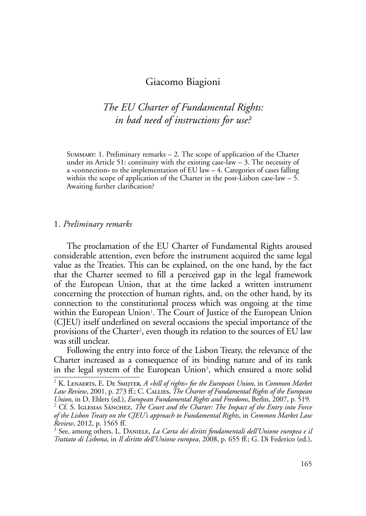## Giacomo Biagioni

# *The EU Charter of Fundamental Rights: in bad need of instructions for use?*

Summary: 1. Preliminary remarks – 2. The scope of application of the Charter under its Article 51: continuity with the existing case-law  $-$  3. The necessity of a «connection» to the implementation of EU law – 4. Categories of cases falling within the scope of application of the Charter in the post-Lisbon case-law – 5. Awaiting further clarification?

#### 1. *Preliminary remarks*

The proclamation of the EU Charter of Fundamental Rights aroused considerable attention, even before the instrument acquired the same legal value as the Treaties. This can be explained, on the one hand, by the fact that the Charter seemed to fill a perceived gap in the legal framework of the European Union, that at the time lacked a written instrument concerning the protection of human rights, and, on the other hand, by its connection to the constitutional process which was ongoing at the time within the European Union<sup>1</sup>. The Court of Justice of the European Union (CJEU) itself underlined on several occasions the special importance of the provisions of the Charter2, even though its relation to the sources of EU law was still unclear.

Following the entry into force of the Lisbon Treaty, the relevance of the Charter increased as a consequence of its binding nature and of its rank in the legal system of the European Union<sup>3</sup>, which ensured a more solid

<sup>1</sup> K. Lenaerts, E. De Smijter, *A «bill of rights» for the European Union*, in *Common Market Law Review*, 2001, p. 273 ff.; C. Callies, *The Charter of Fundamental Rights of the European Union*, in D. Ehlers (ed.), *European Fundamental Rights and Freedoms*, Berlin, 2007, p. 519. <sup>2</sup> <sup>2</sup> Cf. S. IGLESIAS SÁNCHEZ, *The Court and the Charter: The Impact of the Entry into Force of the Lisbon Treaty on the CJEU's approach to Fundamental Rights*, in *Common Market Law Review*, 2012, p. 1565 ff.

<sup>3</sup> See, among others, L. Daniele, *La Carta dei diritti fondamentali dell'Unione europea e il Trattato di Lisbona*, in *Il diritto dell'Unione europea*, 2008, p. 655 ff.; G. Di Federico (ed.),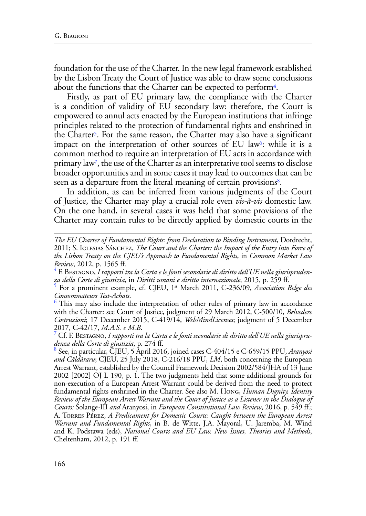foundation for the use of the Charter. In the new legal framework established by the Lisbon Treaty the Court of Justice was able to draw some conclusions about the functions that the Charter can be expected to perform4.

Firstly, as part of EU primary law, the compliance with the Charter is a condition of validity of EU secondary law: therefore, the Court is empowered to annul acts enacted by the European institutions that infringe principles related to the protection of fundamental rights and enshrined in the Charter<sup>5</sup>. For the same reason, the Charter may also have a significant impact on the interpretation of other sources of EU law<sup>6</sup>: while it is a common method to require an interpretation of EU acts in accordance with primary law7, the use of the Charter as an interpretative tool seems to disclose broader opportunities and in some cases it may lead to outcomes that can be seen as a departure from the literal meaning of certain provisions<sup>8</sup>.

In addition, as can be inferred from various judgments of the Court of Justice, the Charter may play a crucial role even *vis-à-vis* domestic law. On the one hand, in several cases it was held that some provisions of the Charter may contain rules to be directly applied by domestic courts in the

 $6$  This may also include the interpretation of other rules of primary law in accordance with the Charter: see Court of Justice, judgment of 29 March 2012, C-500/10, *Belvedere Costruzioni*; 17 December 2015, C-419/14, *WebMindLicenses*; judgment of 5 December 2017, C-42/17, *M.A.S. e M.B*. <sup>7</sup>

 Cf. F. Bestagno, *I rapporti tra la Carta e le fonti secondarie di diritto dell'UE nella giurisprudenza della Corte di giustizia*, p. 274 ff. <sup>8</sup>

 See, in particular, CJEU, 5 April 2016, joined cases C-404/15 e C-659/15 PPU, *Aranyosi and Căldăraru*; CJEU, 25 July 2018, C-216/18 PPU, *LM*, both concerning the European Arrest Warrant, established by the Council Framework Decision 2002/584/JHA of 13 June 2002 [2002] OJ L 190, p. 1. The two judgments held that some additional grounds for non-execution of a European Arrest Warrant could be derived from the need to protect fundamental rights enshrined in the Charter. See also M. Hong, *Human Dignity, Identity Review of the European Arrest Warrant and the Court of Justice as a Listener in the Dialogue of Courts:* Solange-III *and* Aranyosi, in *European Constitutional Law Review*, 2016, p. 549 ff.; A. Torres Pérez, *A Predicament for Domestic Courts: Caught between the European Arrest Warrant and Fundamental Rights*, in B. de Witte, J.A. Mayoral, U. Jaremba, M. Wind and K. Podstawa (eds), *National Courts and EU Law. New Issues, Theories and Methods*, Cheltenham, 2012, p. 191 ff.

*The EU Charter of Fundamental Rights: from Declaration to Binding Instrument*, Dordrecht, 2011; S. Iglesias Sánchez, *The Court and the Charter: the Impact of the Entry into Force of the Lisbon Treaty on the CJEU's Approach to Fundamental Rights*, in *Common Market Law Review*, 2012, p. 1565 ff. <sup>4</sup>

F. Bestagno, *I rapporti tra la Carta e le fonti secondarie di diritto dell'UE nella giurisprudenza della Corte di giustizia*, in *Diritti umani e diritto internazionale*, 2015, p. 259 ff. <sup>5</sup>

For a prominent example, cf. CJEU, 1st March 2011, C-236/09, *Association Belge des Consommateurs Test-Achats*. <sup>6</sup>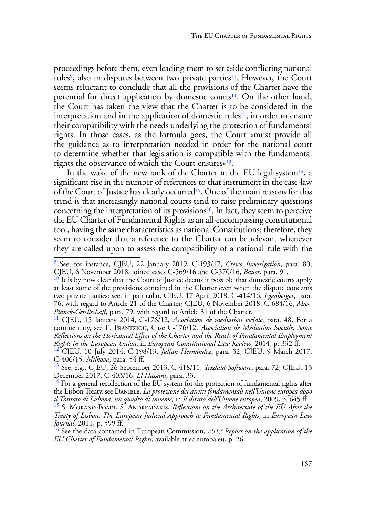proceedings before them, even leading them to set aside conflicting national rules<sup>9</sup>, also in disputes between two private parties<sup>10</sup>. However, the Court seems reluctant to conclude that all the provisions of the Charter have the potential for direct application by domestic courts<sup>11</sup>. On the other hand, the Court has taken the view that the Charter is to be considered in the interpretation and in the application of domestic rules<sup>12</sup>, in order to ensure their compatibility with the needs underlying the protection of fundamental rights. In those cases, as the formula goes, the Court «must provide all the guidance as to interpretation needed in order for the national court to determine whether that legislation is compatible with the fundamental rights the observance of which the Court ensures»13.

In the wake of the new rank of the Charter in the EU legal system<sup>14</sup>, a significant rise in the number of references to that instrument in the case-law of the Court of Justice has clearly occurred<sup>15</sup>. One of the main reasons for this trend is that increasingly national courts tend to raise preliminary questions concerning the interpretation of its provisions<sup>16</sup>. In fact, they seem to perceive the EU Charter of Fundamental Rights as an all-encompassing constitutional tool, having the same characteristics as national Constitutions: therefore, they seem to consider that a reference to the Charter can be relevant whenever they are called upon to assess the compatibility of a national rule with the

<sup>9</sup> See, for instance, CJEU, 22 January 2019, C-193/17, *Cresco Investigation*, para. 80; CJEU, 6 November 2018, joined cases C-569/16 and C-570/16, *Bauer*, para. 91.

<sup>&</sup>lt;sup>10</sup> It is by now clear that the Court of Justice deems it possible that domestic courts apply at least some of the provisions contained in the Charter even when the dispute concerns two private parties: see, in particular, CJEU, 17 April 2018, C-414/16, *Egenberger*, para. 76, with regard to Article 21 of the Charter; CJEU, 6 November 2018, C-684/16, *Max-Planck-Gesellschaft*, para. 79, with regard to Article 31 of the Charter. 11 CJEU, 15 January 2014, C-176/12, *Association de mediation sociale*, para. 48. For a

commentary, see E. Frantziou, Case C-176/12, *Association de Médiation Sociale: Some Reflections on the Horizontal Effect of the Charter and the Reach of Fundamental Employment* 

*Rights in the European Union*, in *European Constitutional Law Review*, 2014, p. 332 ff.<br><sup>12</sup> CJEU, 10 July 2014, C-198/13, *Julian Hernández*, para. 32; CJEU, 9 March 2017, C-406/15, *Milkova*, para. 54 ff.<br><sup>13</sup> See e.g.

See, e.g., CJEU, 26 September 2013, C-418/11, *Texdata Software*, para. 72; CJEU, 13 December 2017, C-403/16, *El Hassani*, para. 33.<br><sup>14</sup> For a general recollection of the EU system for the protection of fundamental rights after

the Lisbon Treaty, see Daniele, *La protezione dei diritti fondamentali nell'Unione europea dopo il Trattato di Lisbona: un quadro di insieme*, in *Il diritto dell'Unione europea*, 2009, p. 645 ff. <sup>15</sup> S. Morano-Foadi, S. Andreadakis, *Reflections on the Architecture of the EU After the* 

*Treaty of Lisbon: The European Judicial Approach to Fundamental Rights*, in *European Law Journal*, 2011, p. 599 ff.

<sup>16</sup> See the data contained in European Commission, *2017 Report on the application of the EU Charter of Fundamental Rights*, available at ec.europa.eu, p. 26.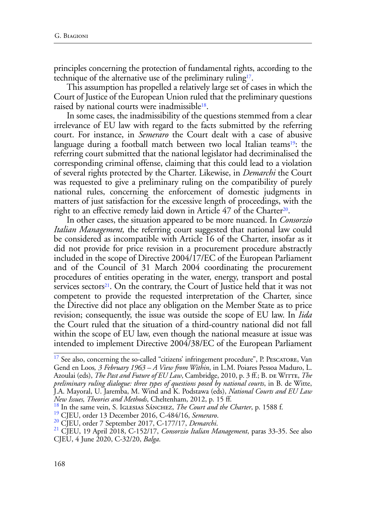principles concerning the protection of fundamental rights, according to the technique of the alternative use of the preliminary ruling<sup>17</sup>.

This assumption has propelled a relatively large set of cases in which the Court of Justice of the European Union ruled that the preliminary questions raised by national courts were inadmissible<sup>18</sup>.

In some cases, the inadmissibility of the questions stemmed from a clear irrelevance of EU law with regard to the facts submitted by the referring court. For instance, in *Semeraro* the Court dealt with a case of abusive language during a football match between two local Italian teams<sup>19</sup>: the referring court submitted that the national legislator had decriminalised the corresponding criminal offense, claiming that this could lead to a violation of several rights protected by the Charter. Likewise, in *Demarchi* the Court was requested to give a preliminary ruling on the compatibility of purely national rules, concerning the enforcement of domestic judgments in matters of just satisfaction for the excessive length of proceedings, with the right to an effective remedy laid down in Article 47 of the Charter<sup>20</sup>.

In other cases, the situation appeared to be more nuanced. In *Consorzio Italian Management,* the referring court suggested that national law could be considered as incompatible with Article 16 of the Charter, insofar as it did not provide for price revision in a procurement procedure abstractly included in the scope of Directive 2004/17/EC of the European Parliament and of the Council of 31 March 2004 coordinating the procurement procedures of entities operating in the water, energy, transport and postal services sectors $21$ . On the contrary, the Court of Justice held that it was not competent to provide the requested interpretation of the Charter, since the Directive did not place any obligation on the Member State as to price revision; consequently, the issue was outside the scope of EU law. In *Iida* the Court ruled that the situation of a third-country national did not fall within the scope of EU law, even though the national measure at issue was intended to implement Directive 2004/38/EC of the European Parliament

<sup>&</sup>lt;sup>17</sup> See also, concerning the so-called "citizens' infringement procedure", P. PESCATORE, Van Gend en Loos*, 3 February 1963 – A View from Within*, in L.M. Poiares Pessoa Maduro, L. Azoulai (eds), *The Past and Future of EU Law*, Cambridge, 2010, p. 3 ff.; B. DE WITTE, *The preliminary ruling dialogue: three types of questions posed by national courts*, in B. de Witte, J.A. Mayoral, U. Jaremba, M. Wind and K. Podstawa (eds), *National Courts and EU Law New Issues, Theories and Methods, Cheltenham, 2012, p. 15 ff.*<br><sup>18</sup> In the same vein, S. IGLESIAS SÁNCHEZ, *The Court and the Charter*, p. 1588 f.<br><sup>19</sup> CJEU, order 13 December 2016, C-484/16, *Semeraro.*<br><sup>20</sup> CJEU, order

CJEU, 4 June 2020, C-32/20, *Balga*.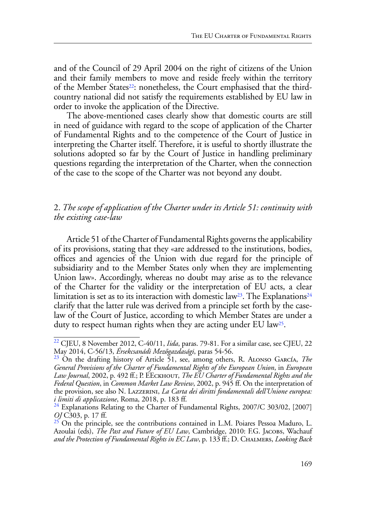and of the Council of 29 April 2004 on the right of citizens of the Union and their family members to move and reside freely within the territory of the Member States<sup>22</sup>: nonetheless, the Court emphasised that the thirdcountry national did not satisfy the requirements established by EU law in order to invoke the application of the Directive.

The above-mentioned cases clearly show that domestic courts are still in need of guidance with regard to the scope of application of the Charter of Fundamental Rights and to the competence of the Court of Justice in interpreting the Charter itself. Therefore, it is useful to shortly illustrate the solutions adopted so far by the Court of Justice in handling preliminary questions regarding the interpretation of the Charter, when the connection of the case to the scope of the Charter was not beyond any doubt.

### 2. *The scope of application of the Charter under its Article 51: continuity with the existing case-law*

Article 51 of the Charter of Fundamental Rights governs the applicability of its provisions, stating that they «are addressed to the institutions, bodies, offices and agencies of the Union with due regard for the principle of subsidiarity and to the Member States only when they are implementing Union law». Accordingly, whereas no doubt may arise as to the relevance of the Charter for the validity or the interpretation of EU acts, a clear limitation is set as to its interaction with domestic law<sup>23</sup>. The Explanations<sup>24</sup> clarify that the latter rule was derived from a principle set forth by the caselaw of the Court of Justice, according to which Member States are under a duty to respect human rights when they are acting under EU law25.

<sup>&</sup>lt;sup>22</sup> CJEU, 8 November 2012, C-40/11, *Iida*, paras. 79-81. For a similar case, see CJEU, 22 May 2014, C-56/13, *Érsekcsanádi Mezőgazdasági*, paras 54-56.

<sup>&</sup>lt;sup>23</sup> On the drafting history of Article 51, see, among others, R. ALONSO GARCÍA, *The General Provisions of the Charter of Fundamental Rights of the European Union*, in *European Law Journal*, 2002, p. 492 ff.; P. EEckhout, *The EU Charter of Fundamental Rights and the Federal Question*, in *Common Market Law Review*, 2002, p. 945 ff. On the interpretation of the provision, see also N. Lazzerini, *La Carta dei diritti fondamentali dell'Unione europea: i limiti di applicazione*, Roma, 2018, p. 183 ff.<br><sup>24</sup> Explanations Relating to the Charter of Fundamental Rights, 2007/C 303/02, [2007]

*OJ* C303, p. 17 ff.

<sup>&</sup>lt;sup>25</sup> On the principle, see the contributions contained in L.M. Poiares Pessoa Maduro, L. Azoulai (eds), *The Past and Future of EU Law*, Cambridge, 2010: F.G. JACOBS, Wachauf *and the Protection of Fundamental Rights in EC Law*, p. 133 ff.; D. Chalmers, *Looking Back*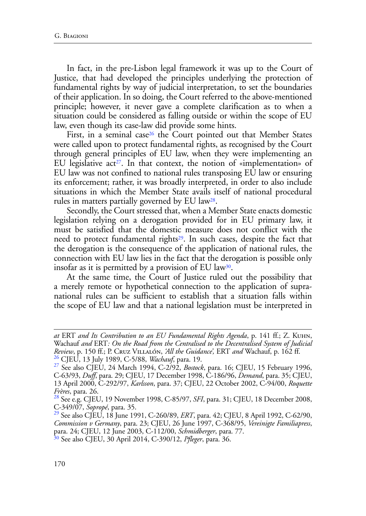In fact, in the pre-Lisbon legal framework it was up to the Court of Justice, that had developed the principles underlying the protection of fundamental rights by way of judicial interpretation, to set the boundaries of their application. In so doing, the Court referred to the above-mentioned principle; however, it never gave a complete clarification as to when a situation could be considered as falling outside or within the scope of EU law, even though its case-law did provide some hints.

First, in a seminal case<sup>26</sup> the Court pointed out that Member States were called upon to protect fundamental rights, as recognised by the Court through general principles of EU law, when they were implementing an EU legislative act<sup>27</sup>. In that context, the notion of «implementation» of EU law was not confined to national rules transposing EU law or ensuring its enforcement; rather, it was broadly interpreted, in order to also include situations in which the Member State avails itself of national procedural rules in matters partially governed by EU law28.

Secondly, the Court stressed that, when a Member State enacts domestic legislation relying on a derogation provided for in EU primary law, it must be satisfied that the domestic measure does not conflict with the need to protect fundamental rights<sup>29</sup>. In such cases, despite the fact that the derogation is the consequence of the application of national rules, the connection with EU law lies in the fact that the derogation is possible only insofar as it is permitted by a provision of EU law<sup>30</sup>.

At the same time, the Court of Justice ruled out the possibility that a merely remote or hypothetical connection to the application of supranational rules can be sufficient to establish that a situation falls within the scope of EU law and that a national legislation must be interpreted in

*at* ERT *and Its Contribution to an EU Fundamental Rights Agenda*, p. 141 ff.; Z. Kuhn, Wachauf *and* ERT*: On the Road from the Centralised to the Decentralised System of Judicial*  Review, p. 150 ff.; P. Cr. VILLALÓN, *'All the Guidance'*, ERT *and* Wachauf, p. 162 ff.<br><sup>26</sup> CJEU, 13 July 1989, C-5/88, *Wachauf*, para. 19.<br><sup>27</sup> See also CJEU, 24 March 1994, C-2/92, *Bostock*, para. 16; CJEU, 15 Februa

C-63/93, *Duff*, para. 29; CJEU, 17 December 1998, C-186/96, *Demand*, para. 35; CJEU,

<sup>13</sup> April 2000, C-292/97, *Karlsson*, para. 37; CJEU, 22 October 2002, C-94/00, *Roquette Frères*, para. 26.<br><sup>28</sup> See e.g. CJEU, 19 November 1998, C-85/97, *SFI*, para. 31; CJEU, 18 December 2008,

C-349/07, *Sopropé*, para. 35.<br><sup>29</sup> See also CJEU, 18 June 1991, C-260/89, *ERT*, para. 42; CJEU, 8 April 1992, C-62/90,

*Commission v Germany*, para. 23; CJEU, 26 June 1997, C-368/95, *Vereinigte Familiapress*, para. 24; CJEU, 12 June 2003, C-112/00, *Schmidberger*, para. 77.

<sup>30</sup> See also CJEU, 30 April 2014, C-390/12, *Pfleger*, para. 36.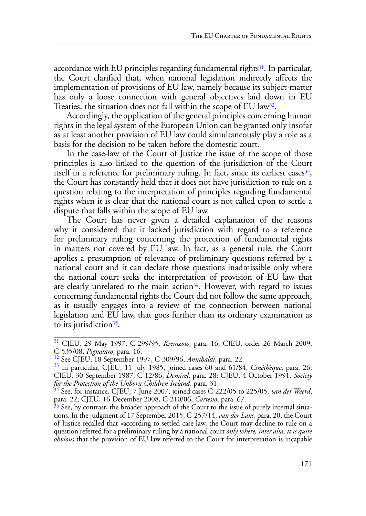accordance with EU principles regarding fundamental rights<sup>31</sup>. In particular, the Court clarified that, when national legislation indirectly affects the implementation of provisions of EU law, namely because its subject-matter has only a loose connection with general objectives laid down in EU Treaties, the situation does not fall within the scope of EU law<sup>32</sup>.

Accordingly, the application of the general principles concerning human rights in the legal system of the European Union can be granted only insofar as at least another provision of EU law could simultaneously play a role as a basis for the decision to be taken before the domestic court.

In the case-law of the Court of Justice the issue of the scope of those principles is also linked to the question of the jurisdiction of the Court itself in a reference for preliminary ruling. In fact, since its earliest cases  $33$ , the Court has constantly held that it does not have jurisdiction to rule on a question relating to the interpretation of principles regarding fundamental rights when it is clear that the national court is not called upon to settle a dispute that falls within the scope of EU law.

The Court has never given a detailed explanation of the reasons why it considered that it lacked jurisdiction with regard to a reference for preliminary ruling concerning the protection of fundamental rights in matters not covered by EU law. In fact, as a general rule, the Court applies a presumption of relevance of preliminary questions referred by a national court and it can declare those questions inadmissible only where the national court seeks the interpretation of provision of EU law that are clearly unrelated to the main action<sup>34</sup>. However, with regard to issues concerning fundamental rights the Court did not follow the same approach, as it usually engages into a review of the connection between national legislation and EU law, that goes further than its ordinary examination as to its jurisdiction<sup>35</sup>.

<sup>31</sup> CJEU, 29 May 1997, C-299/95, *Kremzow*, para. 16; CJEU, order 26 March 2009,

C-535/08, *Pignataro*, para. 16.<br><sup>32</sup> See CJEU, 18 September 1997, C-309/96, *Annibaldi*, para. 22.<br><sup>33</sup> In particular, CJEU, 11 July 1985, joined cases 60 and 61/84, *Cinéthèque*, para. 26; CJEU, 30 September 1987, C-12/86, *Demirel*, para. 28; CJEU, 4 October 1991, *Society* 

<sup>&</sup>lt;sup>34</sup> See, for instance, CJEU, 7 June 2007, joined cases C-222/05 to 225/05, *van der Weerd*, para. 22; CJEU, 16 December 2008, C-210/06, *Cartesio*, para. 67.

 $\frac{35}{35}$  See, by contrast, the broader approach of the Court to the issue of purely internal situations. In the judgment of 17 September 2015, C-257/14, *van der Lans*, para. 20, the Court of Justice recalled that «according to settled case-law, the Court may decline to rule on a question referred for a preliminary ruling by a national court *only where, inter alia, it is quite obvious* that the provision of EU law referred to the Court for interpretation is incapable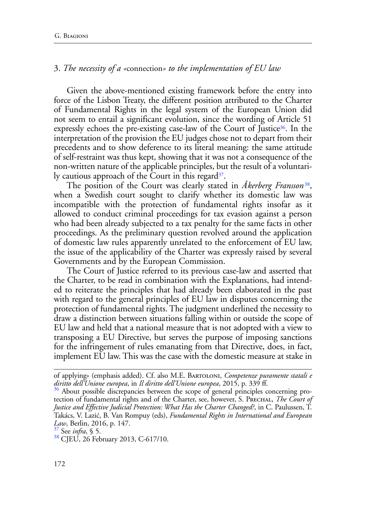### 3. *The necessity of a «*connection*» to the implementation of EU law*

Given the above-mentioned existing framework before the entry into force of the Lisbon Treaty, the different position attributed to the Charter of Fundamental Rights in the legal system of the European Union did not seem to entail a significant evolution, since the wording of Article 51 expressly echoes the pre-existing case-law of the Court of Justice<sup>36</sup>. In the interpretation of the provision the EU judges chose not to depart from their precedents and to show deference to its literal meaning: the same attitude of self-restraint was thus kept, showing that it was not a consequence of the non-written nature of the applicable principles, but the result of a voluntarily cautious approach of the Court in this regard $37$ .

The position of the Court was clearly stated in *Åkerberg Fransson*38, when a Swedish court sought to clarify whether its domestic law was incompatible with the protection of fundamental rights insofar as it allowed to conduct criminal proceedings for tax evasion against a person who had been already subjected to a tax penalty for the same facts in other proceedings. As the preliminary question revolved around the application of domestic law rules apparently unrelated to the enforcement of EU law, the issue of the applicability of the Charter was expressly raised by several Governments and by the European Commission.

The Court of Justice referred to its previous case-law and asserted that the Charter, to be read in combination with the Explanations, had intended to reiterate the principles that had already been elaborated in the past with regard to the general principles of EU law in disputes concerning the protection of fundamental rights. The judgment underlined the necessity to draw a distinction between situations falling within or outside the scope of EU law and held that a national measure that is not adopted with a view to transposing a EU Directive, but serves the purpose of imposing sanctions for the infringement of rules emanating from that Directive, does, in fact, implement EU law. This was the case with the domestic measure at stake in

of applying» (emphasis added). Cf. also M.E. Bartoloni, *Competenze puramente statali e diritto dell'Unione europea*, in *Il diritto dell'Unione europea*, 2015, p. 339 ff.<br><sup>36</sup> About possible discrepancies between the scope of general principles concerning pro-

tection of fundamental rights and of the Charter, see, however, S. Prechal, *The Court of Justice and Effective Judicial Protection: What Has the Charter Changed?*, in C. Paulussen, T. Takács, V. Lazić, B. Van Rompuy (eds), *Fundamental Rights in International and European Law*, Berlin, 2016, p. 147. 37 See *infra*, § 5.

<sup>&</sup>lt;sup>38</sup> CJEU, 26 February 2013, C-617/10.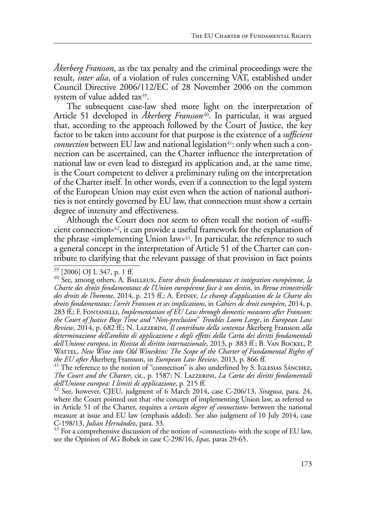*Åkerberg Fransson*, as the tax penalty and the criminal proceedings were the result, *inter alia*, of a violation of rules concerning VAT, established under Council Directive 2006/112/EC of 28 November 2006 on the common system of value added tax<sup>39</sup>.

The subsequent case-law shed more light on the interpretation of Article 51 developed in *Åkerberg Fransson<sup>40</sup>*. In particular, it was argued that, according to the approach followed by the Court of Justice, the key factor to be taken into account for that purpose is the existence of a *sufficient connection* between EU law and national legislation<sup>41</sup>: only when such a connection can be ascertained, can the Charter influence the interpretation of national law or even lead to disregard its application and, at the same time, is the Court competent to deliver a preliminary ruling on the interpretation of the Charter itself. In other words, even if a connection to the legal system of the European Union may exist even when the action of national authorities is not entirely governed by EU law, that connection must show a certain degree of intensity and effectiveness.

Although the Court does not seem to often recall the notion of «sufficient connection»42, it can provide a useful framework for the explanation of the phrase «implementing Union law»<sup>43</sup>. In particular, the reference to such a general concept in the interpretation of Article 51 of the Charter can contribute to clarifying that the relevant passage of that provision in fact points

see the Opinion of AG Bobek in case C-298/16, *Ispas*, paras 29-65.

<sup>&</sup>lt;sup>39</sup> [2006] OJ L 347, p. 1 ff.<br><sup>40</sup> See, among others, A. BAILLEUX, *Entre droits fondamentaux et intégration européenne, la Charte des droits fondamentaux de l'Union européenne face à son destin*, in *Revue trimestrielle des droits de l'homme*, 2014, p. 215 ff.; A. Épiney, *Le champ d'application de la Charte des droits fondamentaux: l'arrêt Fransson et ses implications*, in *Cahiers de droit européen*, 2014, p. 283 ff.; F. Fontanelli, *Implementation of EU Law through domestic measures after Fransson: the Court of Justice Buys Time and* "*Non-preclusion*" *Troubles Loom Large*, in *European Law Review*, 2014, p. 682 ff.; N. Lazzerini, *Il contributo della sentenza* Åkerberg Fransson *alla determinazione dell'ambito di applicazione e degli effetti della Carta dei diritti fondamentali dell'Unione europea*, in *Rivista di diritto internazionale*, 2013, p .883 ff.; B. Van Bockel, P. WATTEL, *New Wine into Old Wineskins: The Scope of the Charter of Fundamental Rights of* 

*the EU after* Åkerberg Fransson, in *European Law Review*, 2013, p. 866 ff.<br><sup>41</sup> The reference to the notion of "connection" is also underlined by S. IGLESIAS SÁNCHEZ, *The Court and the Charter*, cit., p. 1587; N. Lazzerini, *La Carta dei diritti fondamentali dell'Unione europea: I limiti di applicazione*, p. 215 ff. 42 See, however, CJEU, judgment of 6 March 2014, case C-206/13, *Siragusa*, para. 24,

where the Court pointed out that «the concept of implementing Union law, as referred to in Article 51 of the Charter, requires a *certain degree of connection*» between the national measure at issue and EU law (emphasis added). See also judgment of 10 July 2014, case C-198/13, *Julian Hernández*, para. 33.<br><sup>43</sup> For a comprehensive discussion of the notion of «connection» with the scope of EU law,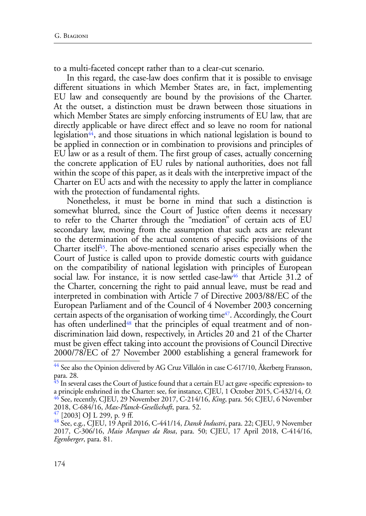to a multi-faceted concept rather than to a clear-cut scenario.

In this regard, the case-law does confirm that it is possible to envisage different situations in which Member States are, in fact, implementing EU law and consequently are bound by the provisions of the Charter. At the outset, a distinction must be drawn between those situations in which Member States are simply enforcing instruments of EU law, that are directly applicable or have direct effect and so leave no room for national legislation<sup>44</sup>, and those situations in which national legislation is bound to be applied in connection or in combination to provisions and principles of EU law or as a result of them. The first group of cases, actually concerning the concrete application of EU rules by national authorities, does not fall within the scope of this paper, as it deals with the interpretive impact of the Charter on EU acts and with the necessity to apply the latter in compliance with the protection of fundamental rights.

Nonetheless, it must be borne in mind that such a distinction is somewhat blurred, since the Court of Justice often deems it necessary to refer to the Charter through the "mediation" of certain acts of EU secondary law, moving from the assumption that such acts are relevant to the determination of the actual contents of specific provisions of the Charter itsel $f<sup>45</sup>$ . The above-mentioned scenario arises especially when the Court of Justice is called upon to provide domestic courts with guidance on the compatibility of national legislation with principles of European social law. For instance, it is now settled case-law<sup>46</sup> that Article 31.2 of the Charter, concerning the right to paid annual leave, must be read and interpreted in combination with Article 7 of Directive 2003/88/EC of the European Parliament and of the Council of 4 November 2003 concerning certain aspects of the organisation of working time<sup>47</sup>. Accordingly, the Court has often underlined<sup>48</sup> that the principles of equal treatment and of nondiscrimination laid down, respectively, in Articles 20 and 21 of the Charter must be given effect taking into account the provisions of Council Directive 2000/78/EC of 27 November 2000 establishing a general framework for

 $^{44}$  See also the Opinion delivered by AG Cruz Villalón in case C-617/10, Åkerberg Fransson, para. 28.

 $\frac{45}{1}$  In several cases the Court of Justice found that a certain EU act gave «specific expression» to a principle enshrined in the Charter: see, for instance, CJEU, 1 October 2015, C-432/14, *O.* 46 See, recently, CJEU, 29 November 2017, C-214/16, *King*, para. 56; CJEU, 6 November 2018, C-684/16, *Max-Planck-Gesellschaft*, para. 52. 47 [2003] OJ L 299, p. 9 ff. 48 See, e.g., CJEU, 19 April 2016, C-441/14, *Dansk Industri*, para. 22; CJEU, 9 November

<sup>2017,</sup> C-306/16, *Maio Marques da Rosa*, para. 50; CJEU, 17 April 2018, C-414/16, *Egenberger*, para. 81.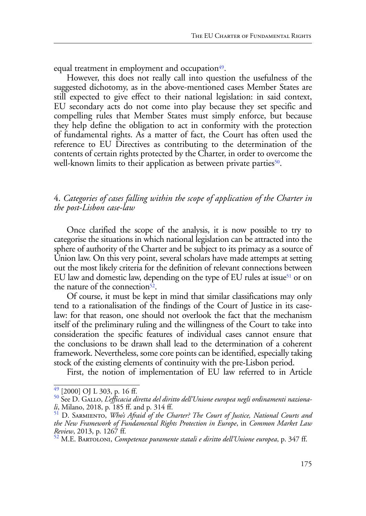equal treatment in employment and occupation $49$ .

However, this does not really call into question the usefulness of the suggested dichotomy, as in the above-mentioned cases Member States are still expected to give effect to their national legislation: in said context, EU secondary acts do not come into play because they set specific and compelling rules that Member States must simply enforce, but because they help define the obligation to act in conformity with the protection of fundamental rights. As a matter of fact, the Court has often used the reference to EU Directives as contributing to the determination of the contents of certain rights protected by the Charter, in order to overcome the well-known limits to their application as between private parties<sup>50</sup>.

### 4. *Categories of cases falling within the scope of application of the Charter in the post-Lisbon case-law*

Once clarified the scope of the analysis, it is now possible to try to categorise the situations in which national legislation can be attracted into the sphere of authority of the Charter and be subject to its primacy as a source of Union law. On this very point, several scholars have made attempts at setting out the most likely criteria for the definition of relevant connections between EU law and domestic law, depending on the type of EU rules at issue<sup>51</sup> or on the nature of the connection $52$ .

Of course, it must be kept in mind that similar classifications may only tend to a rationalisation of the findings of the Court of Justice in its caselaw: for that reason, one should not overlook the fact that the mechanism itself of the preliminary ruling and the willingness of the Court to take into consideration the specific features of individual cases cannot ensure that the conclusions to be drawn shall lead to the determination of a coherent framework. Nevertheless, some core points can be identified, especially taking stock of the existing elements of continuity with the pre-Lisbon period.

First, the notion of implementation of EU law referred to in Article

<sup>&</sup>lt;sup>49</sup> [2000] OJ L 303, p. 16 ff.<br><sup>50</sup> See D. GALLO, *L'efficacia diretta del diritto dell'Unione europea negli ordinamenti nazionali*, Milano, 2018, p. 185 ff. and p. 314 ff.

<sup>51</sup> D. Sarmiento, *Who's Afraid of the Charter? The Court of Justice, National Courts and the New Framework of Fundamental Rights Protection in Europe*, in *Common Market Law Review*, 2013, p. 1267 ff. <sup>52</sup> M.E. Bartoloni, *Competenze puramente statali e diritto dell'Unione europea*, p. 347 ff.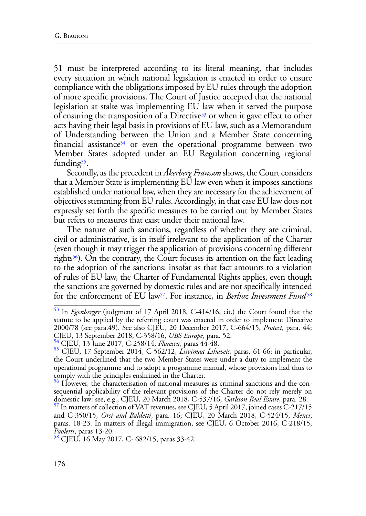51 must be interpreted according to its literal meaning, that includes every situation in which national legislation is enacted in order to ensure compliance with the obligations imposed by EU rules through the adoption of more specific provisions. The Court of Justice accepted that the national legislation at stake was implementing EU law when it served the purpose of ensuring the transposition of a Directive53 or when it gave effect to other acts having their legal basis in provisions of EU law, such as a Memorandum of Understanding between the Union and a Member State concerning financial assistance<sup>54</sup> or even the operational programme between two Member States adopted under an EU Regulation concerning regional funding<sup>55</sup>.

Secondly, as the precedent in *Åkerberg Fransson* shows, the Court considers that a Member State is implementing EU law even when it imposes sanctions established under national law, when they are necessary for the achievement of objectives stemming from EU rules. Accordingly, in that case EU law does not expressly set forth the specific measures to be carried out by Member States but refers to measures that exist under their national law.

The nature of such sanctions, regardless of whether they are criminal, civil or administrative, is in itself irrelevant to the application of the Charter (even though it may trigger the application of provisions concerning different rights56). On the contrary, the Court focuses its attention on the fact leading to the adoption of the sanctions: insofar as that fact amounts to a violation of rules of EU law, the Charter of Fundamental Rights applies, even though the sanctions are governed by domestic rules and are not specifically intended for the enforcement of EU law<sup>57</sup>. For instance, in *Berlioz Investment Fund*<sup>58</sup>

<sup>53</sup> In *Egenberger* (judgment of 17 April 2018, C-414/16, cit.) the Court found that the statute to be applied by the referring court was enacted in order to implement Directive 2000/78 (see para.49). See also CJEU, 20 December 2017, C-664/15, *Protect*, para. 44; CJEU, 13 September 2018, C-358/16, *UBS Europe*, para. 52.<br><sup>54</sup> CJEU, 13 June 2017, C-258/14, *Florescu*, paras 44-48.<br><sup>55</sup> CJEU, 17 September 2014, C-562/12, *Liivimaa Lihaveis*, paras. 61-66: in particular,

the Court underlined that the two Member States were under a duty to implement the operational programme and to adopt a programme manual, whose provisions had thus to comply with the principles enshrined in the Charter.

<sup>&</sup>lt;sup>56</sup> However, the characterisation of national measures as criminal sanctions and the consequential applicability of the relevant provisions of the Charter do not rely merely on domestic law: see, e.g., CJEU, 20 March 2018, C-537/16, *Garlsson Real Estate*, para. 28. 57 In matters of collection of VAT revenues, see CJEU, 5 April 2017, joined cases C-217/15

and C-350/15, *Orsi and Baldetti*, para. 16; CJEU, 20 March 2018, C-524/15, *Menci*, paras. 18-23. In matters of illegal immigration, see CJEU, 6 October 2016, C-218/15, *Paoletti*, paras 13-20.<br><sup>58</sup> CJEU, 16 May 2017, C- 682/15, paras 33-42.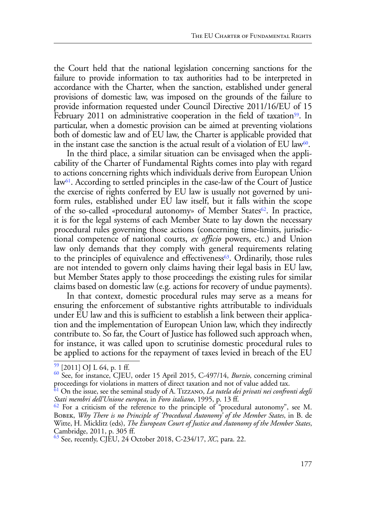the Court held that the national legislation concerning sanctions for the failure to provide information to tax authorities had to be interpreted in accordance with the Charter, when the sanction, established under general provisions of domestic law, was imposed on the grounds of the failure to provide information requested under Council Directive 2011/16/EU of 15 February 2011 on administrative cooperation in the field of taxation<sup>59</sup>. In particular, when a domestic provision can be aimed at preventing violations both of domestic law and of EU law, the Charter is applicable provided that in the instant case the sanction is the actual result of a violation of EU law $60$ .

In the third place, a similar situation can be envisaged when the applicability of the Charter of Fundamental Rights comes into play with regard to actions concerning rights which individuals derive from European Union  $law<sup>61</sup>$ . According to settled principles in the case-law of the Court of Justice the exercise of rights conferred by EU law is usually not governed by uniform rules, established under EU law itself, but it falls within the scope of the so-called «procedural autonomy» of Member States<sup>62</sup>. In practice, it is for the legal systems of each Member State to lay down the necessary procedural rules governing those actions (concerning time-limits, jurisdictional competence of national courts, *ex officio* powers, etc.) and Union law only demands that they comply with general requirements relating to the principles of equivalence and effectiveness $63$ . Ordinarily, those rules are not intended to govern only claims having their legal basis in EU law, but Member States apply to those proceedings the existing rules for similar claims based on domestic law (e.g. actions for recovery of undue payments).

In that context, domestic procedural rules may serve as a means for ensuring the enforcement of substantive rights attributable to individuals under EU law and this is sufficient to establish a link between their application and the implementation of European Union law, which they indirectly contribute to. So far, the Court of Justice has followed such approach when, for instance, it was called upon to scrutinise domestic procedural rules to be applied to actions for the repayment of taxes levied in breach of the EU

<sup>59 [2011]</sup> OJ L 64, p. 1 ff. 60 See, for instance, CJEU, order 15 April 2015, C-497/14, *Burzio*, concerning criminal proceedings for violations in matters of direct taxation and not of value added tax.

<sup>61</sup> On the issue, see the seminal study of A. Tizzano, *La tutela dei privati nei confronti degli Stati membri dell'Unione europea*, in *Foro italiano*, 1995, p. 13 ff.

 $62$  For a criticism of the reference to the principle of "procedural autonomy", see M. Bobek, *Why There is no Principle of 'Procedural Autonomy' of the Member States*, in B. de Witte, H. Micklitz (eds), *The European Court of Justice and Autonomy of the Member States*, Cambridge, 2011, p. 305 ff.

<sup>63</sup> See, recently, CJEU, 24 October 2018, C-234/17, *XC*, para. 22.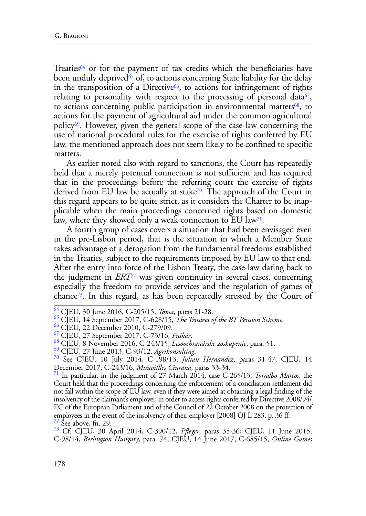Treaties<sup>64</sup> or for the payment of tax credits which the beneficiaries have been unduly deprived<sup>65</sup> of, to actions concerning State liability for the delay in the transposition of a Directive<sup>66</sup>, to actions for infringement of rights relating to personality with respect to the processing of personal data<sup>67</sup>, to actions concerning public participation in environmental matters<sup>68</sup>, to actions for the payment of agricultural aid under the common agricultural policy69. However, given the general scope of the case-law concerning the use of national procedural rules for the exercise of rights conferred by EU law, the mentioned approach does not seem likely to be confined to specific matters.

As earlier noted also with regard to sanctions, the Court has repeatedly held that a merely potential connection is not sufficient and has required that in the proceedings before the referring court the exercise of rights derived from EU law be actually at stake<sup>70</sup>. The approach of the Court in this regard appears to be quite strict, as it considers the Charter to be inapplicable when the main proceedings concerned rights based on domestic law, where they showed only a weak connection to EU law<sup>71</sup>.

A fourth group of cases covers a situation that had been envisaged even in the pre-Lisbon period, that is the situation in which a Member State takes advantage of a derogation from the fundamental freedoms established in the Treaties, subject to the requirements imposed by EU law to that end. After the entry into force of the Lisbon Treaty, the case-law dating back to the judgment in *ERT*72 was given continuity in several cases, concerning especially the freedom to provide services and the regulation of games of chance73. In this regard, as has been repeatedly stressed by the Court of

<sup>&</sup>lt;sup>64</sup> CJEU, 30 June 2016, C-205/15, *Toma*, paras 21-28.<br>
<sup>65</sup> CJEU, 14 September 2017, C-628/15, *The Trustees of the BT Pension Scheme*.<br>
<sup>66</sup> CJEU, 22 December 2010, C-279/09.<br>
<sup>67</sup> CJEU, 27 September 2017, C-73/16, *Pu* December 2017, C-243/16, *Miravitlles Ciurana*, paras 33-34. 71 In particular, in the judgment of 27 March 2014, case C-265/13, *Torralbo Marcos*, the

Court held that the proceedings concerning the enforcement of a conciliation settlement did not fall within the scope of EU law, even if they were aimed at obtaining a legal finding of the insolvency of the claimant's employer, in order to access rights conferred by Directive 2008/94/ EC of the European Parliament and of the Council of 22 October 2008 on the protection of employees in the event of the insolvency of their employer [2008] OJ L 283, p. 36 ff.  $\frac{72}{2}$  See above, fn. 29.

<sup>73</sup> Cf. CJEU, 30 April 2014, C-390/12, *Pfleger*, paras 35-36; CJEU, 11 June 2015, C-98/14, *Berlington Hungary*, para. 74; CJEU, 14 June 2017, C-685/15, *Online Games*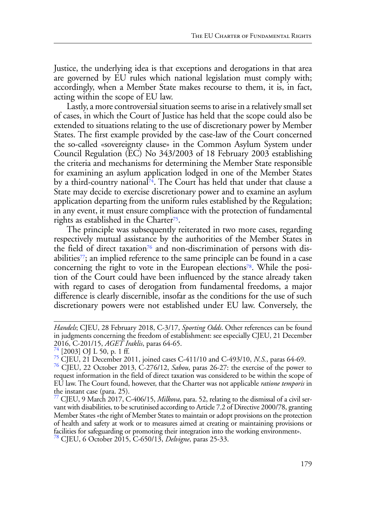Justice, the underlying idea is that exceptions and derogations in that area are governed by EU rules which national legislation must comply with; accordingly, when a Member State makes recourse to them, it is, in fact, acting within the scope of EU law.

Lastly, a more controversial situation seems to arise in a relatively small set of cases, in which the Court of Justice has held that the scope could also be extended to situations relating to the use of discretionary power by Member States. The first example provided by the case-law of the Court concerned the so-called «sovereignty clause» in the Common Asylum System under Council Regulation (EC) No 343/2003 of 18 February 2003 establishing the criteria and mechanisms for determining the Member State responsible for examining an asylum application lodged in one of the Member States by a third-country national $\tilde{I}^4$ . The Court has held that under that clause a State may decide to exercise discretionary power and to examine an asylum application departing from the uniform rules established by the Regulation; in any event, it must ensure compliance with the protection of fundamental rights as established in the Charter<sup>75</sup>.

The principle was subsequently reiterated in two more cases, regarding respectively mutual assistance by the authorities of the Member States in the field of direct taxation<sup>76</sup> and non-discrimination of persons with disabilities $7$ ; an implied reference to the same principle can be found in a case concerning the right to vote in the European elections<sup>78</sup>. While the position of the Court could have been influenced by the stance already taken with regard to cases of derogation from fundamental freedoms, a major difference is clearly discernible, insofar as the conditions for the use of such discretionary powers were not established under EU law. Conversely, the

*Handels*; CJEU, 28 February 2018, C-3/17, *Sporting Odds*. Other references can be found in judgments concerning the freedom of establishment: see especially CJEU, 21 December 2016, C-201/15, *AGET Iraklis*, paras 64-65.<br><sup>74</sup> [2003] OJ L 50, p. 1 ff.

<sup>&</sup>lt;sup>75</sup> CJEU, 21 December 2011, joined cases C-411/10 and C-493/10, *N.S.*, paras 64-69.<br><sup>76</sup> CJEU, 22 October 2013, C-276/12, *Sabou*, paras 26-27: the exercise of the power to request information in the field of direct taxation was considered to be within the scope of EU law. The Court found, however, that the Charter was not applicable *ratione temporis* in the instant case (para. 25).

<sup>77</sup> CJEU, 9 March 2017, C-406/15, *Milkova*, para. 52, relating to the dismissal of a civil servant with disabilities, to be scrutinised according to Article 7.2 of Directive 2000/78, granting Member States «the right of Member States to maintain or adopt provisions on the protection of health and safety at work or to measures aimed at creating or maintaining provisions or facilities for safeguarding or promoting their integration into the working environment».

<sup>78</sup> CJEU, 6 October 2015, C-650/13, *Delvigne*, paras 25-33.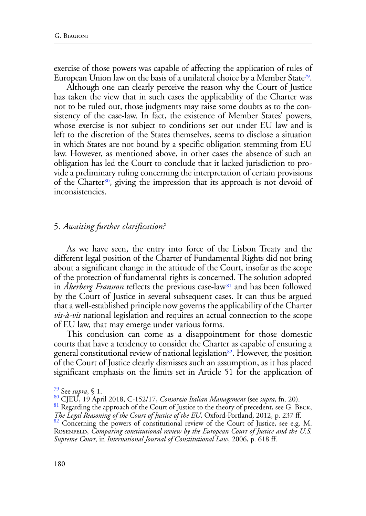exercise of those powers was capable of affecting the application of rules of European Union law on the basis of a unilateral choice by a Member State<sup>79</sup>.

Although one can clearly perceive the reason why the Court of Justice has taken the view that in such cases the applicability of the Charter was not to be ruled out, those judgments may raise some doubts as to the consistency of the case-law. In fact, the existence of Member States' powers, whose exercise is not subject to conditions set out under EU law and is left to the discretion of the States themselves, seems to disclose a situation in which States are not bound by a specific obligation stemming from EU law. However, as mentioned above, in other cases the absence of such an obligation has led the Court to conclude that it lacked jurisdiction to provide a preliminary ruling concerning the interpretation of certain provisions of the Charter<sup>80</sup>, giving the impression that its approach is not devoid of inconsistencies.

#### 5. *Awaiting further clarification?*

As we have seen, the entry into force of the Lisbon Treaty and the different legal position of the Charter of Fundamental Rights did not bring about a significant change in the attitude of the Court, insofar as the scope of the protection of fundamental rights is concerned. The solution adopted in *Akerberg Fransson* reflects the previous case-law<sup>81</sup> and has been followed by the Court of Justice in several subsequent cases. It can thus be argued that a well-established principle now governs the applicability of the Charter *vis-à-vis* national legislation and requires an actual connection to the scope of EU law, that may emerge under various forms.

This conclusion can come as a disappointment for those domestic courts that have a tendency to consider the Charter as capable of ensuring a general constitutional review of national legislation<sup>82</sup>. However, the position of the Court of Justice clearly dismisses such an assumption, as it has placed significant emphasis on the limits set in Article 51 for the application of

<sup>79</sup> See *supra*, § 1.

<sup>80</sup> CJEU, 19 April 2018, C-152/17, *Consorzio Italian Management* (see *supra*, fn. 20).

<sup>&</sup>lt;sup>81</sup> Regarding the approach of the Court of Justice to the theory of precedent, see G. BECK, *The Legal Reasoning of the Court of Justice of the EU*, Oxford-Portland, 2012, p. 237 ff.

<sup>&</sup>lt;sup>82</sup> Concerning the powers of constitutional review of the Court of Justice, see e.g. M. ROSENFELD, *Comparing constitutional review by the European Court of Justice and the U.S. Supreme Court*, in *International Journal of Constitutional Law*, 2006, p. 618 ff.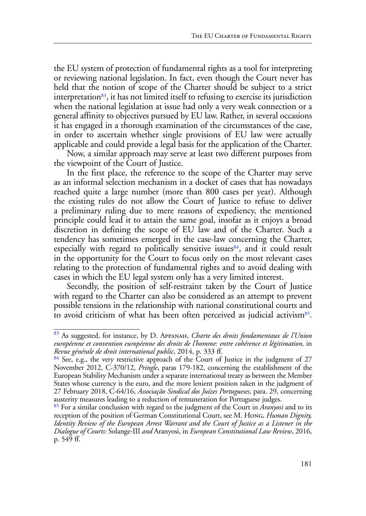the EU system of protection of fundamental rights as a tool for interpreting or reviewing national legislation. In fact, even though the Court never has held that the notion of scope of the Charter should be subject to a strict interpretation $83$ , it has not limited itself to refusing to exercise its jurisdiction when the national legislation at issue had only a very weak connection or a general affinity to objectives pursued by EU law. Rather, in several occasions it has engaged in a thorough examination of the circumstances of the case, in order to ascertain whether single provisions of EU law were actually applicable and could provide a legal basis for the application of the Charter.

Now, a similar approach may serve at least two different purposes from the viewpoint of the Court of Justice.

In the first place, the reference to the scope of the Charter may serve as an informal selection mechanism in a docket of cases that has nowadays reached quite a large number (more than 800 cases per year). Although the existing rules do not allow the Court of Justice to refuse to deliver a preliminary ruling due to mere reasons of expediency, the mentioned principle could lead it to attain the same goal, insofar as it enjoys a broad discretion in defining the scope of EU law and of the Charter. Such a tendency has sometimes emerged in the case-law concerning the Charter, especially with regard to politically sensitive issues $84$ , and it could result in the opportunity for the Court to focus only on the most relevant cases relating to the protection of fundamental rights and to avoid dealing with cases in which the EU legal system only has a very limited interest.

Secondly, the position of self-restraint taken by the Court of Justice with regard to the Charter can also be considered as an attempt to prevent possible tensions in the relationship with national constitutional courts and to avoid criticism of what has been often perceived as judicial activism<sup>85</sup>.

<sup>83</sup> As suggested, for instance, by D. Appanah, *Charte des droits fondamentaux de l'Union européenne et convention européenne des droits de l'homme: entre cohérence et légitimation,* in *Revue générale de droit international public*, 2014, p. 333 ff.<br><sup>84</sup> See, e.g., the very restrictive approach of the Court of Justice in the judgment of 27

November 2012, C-370/12, *Pringle*, paras 179-182, concerning the establishment of the European Stability Mechanism under a separate international treaty as between the Member States whose currency is the euro, and the more lenient position taken in the judgment of 27 February 2018, C-64/16, *Associação Sindical dos Juízes Portugueses*, para. 29, concerning austerity measures leading to a reduction of remuneration for Portuguese judges.

<sup>85</sup> For a similar conclusion with regard to the judgment of the Court in *Aranyosi* and to its reception of the position of German Constitutional Court, see M. Hong, *Human Dignity, Identity Review of the European Arrest Warrant and the Court of Justice as a Listener in the Dialogue of Courts:* Solange-III *and* Aranyosi, in *European Constitutional Law Review*, 2016, p. 549 ff.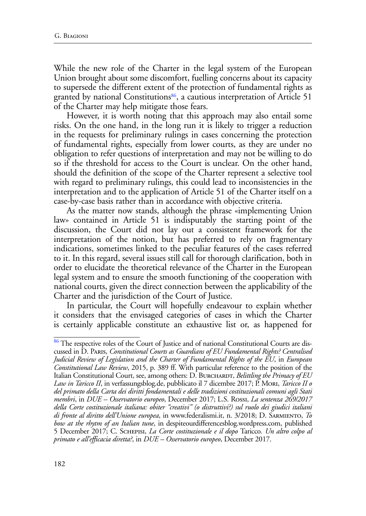While the new role of the Charter in the legal system of the European Union brought about some discomfort, fuelling concerns about its capacity to supersede the different extent of the protection of fundamental rights as granted by national Constitutions<sup>86</sup>, a cautious interpretation of Article 51 of the Charter may help mitigate those fears.

However, it is worth noting that this approach may also entail some risks. On the one hand, in the long run it is likely to trigger a reduction in the requests for preliminary rulings in cases concerning the protection of fundamental rights, especially from lower courts, as they are under no obligation to refer questions of interpretation and may not be willing to do so if the threshold for access to the Court is unclear. On the other hand, should the definition of the scope of the Charter represent a selective tool with regard to preliminary rulings, this could lead to inconsistencies in the interpretation and to the application of Article 51 of the Charter itself on a case-by-case basis rather than in accordance with objective criteria.

As the matter now stands, although the phrase «implementing Union law» contained in Article 51 is indisputably the starting point of the discussion, the Court did not lay out a consistent framework for the interpretation of the notion, but has preferred to rely on fragmentary indications, sometimes linked to the peculiar features of the cases referred to it. In this regard, several issues still call for thorough clarification, both in order to elucidate the theoretical relevance of the Charter in the European legal system and to ensure the smooth functioning of the cooperation with national courts, given the direct connection between the applicability of the Charter and the jurisdiction of the Court of Justice.

In particular, the Court will hopefully endeavour to explain whether it considers that the envisaged categories of cases in which the Charter is certainly applicable constitute an exhaustive list or, as happened for

<sup>&</sup>lt;sup>86</sup> The respective roles of the Court of Justice and of national Constitutional Courts are discussed in D. Paris, *Constitutional Courts as Guardians of EU Fundamental Rights? Centralised Judicial Review of Legislation and the Charter of Fundamental Rights of the EU*, in *European Constitutional Law Review*, 2015, p. 389 ff. With particular reference to the position of the Italian Constitutional Court, see, among others: D. BURCHARDT, *Belittling the Primacy of EU Law in Taricco II*, in verfassungsblog.de, pubblicato il 7 dicembre 2017; P. Mori, *Taricco II o del primato della Carta dei diritti fondamentali e delle tradizioni costituzionali comuni agli Stati membri*, in *DUE – Osservatorio europeo*, December 2017; L.S. Rossi, *La sentenza 269/2017 della Corte costituzionale italiana: obiter "creativi" (o distruttivi?) sul ruolo dei giudici italiani di fronte al diritto dell'Unione europea*, in www.federalismi.it, n. 3/2018; D. Sarmiento, *To bow at the rhytm of an Italian tune*, in despiteourdifferencesblog.wordpress.com, published 5 December 2017; C. Schepisi, *La Corte costituzionale e il dopo* Taricco*. Un altro colpo al primato e all'efficacia diretta?*, in *DUE – Osservatorio europeo*, December 2017.